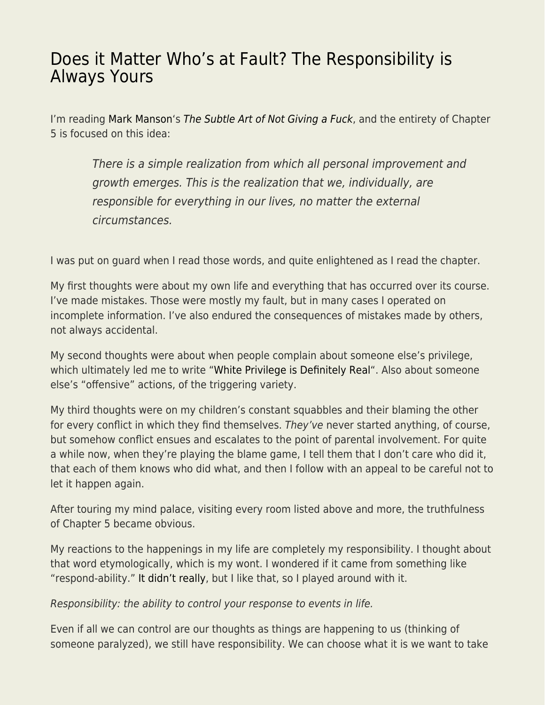## [Does it Matter Who's at Fault? The Responsibility is](https://everything-voluntary.com/matter-whos-fault-responsibility-always) [Always Yours](https://everything-voluntary.com/matter-whos-fault-responsibility-always)

I'm reading [Mark Manson'](http://markmanson.net/)s [The Subtle Art of Not Giving a Fuck](http://www.amazon.com/Subtle-Art-Not-Giving-Counterintuitive/dp/0062457713/ref=as_li_bk_tl/?tag=voluntary4all-20&linkId=6aa5fd460cca218ec1716e3344b51b7c&linkCode=ktl), and the entirety of Chapter 5 is focused on this idea:

There is a simple realization from which all personal improvement and growth emerges. This is the realization that we, individually, are responsible for everything in our lives, no matter the external circumstances.

I was put on guard when I read those words, and quite enlightened as I read the chapter.

My first thoughts were about my own life and everything that has occurred over its course. I've made mistakes. Those were mostly my fault, but in many cases I operated on incomplete information. I've also endured the consequences of mistakes made by others, not always accidental.

My second thoughts were about when people complain about someone else's privilege, which ultimately led me to write ["White Privilege is Definitely Real](http://everything-voluntary.com/white-privilege-definitely-real)". Also about someone else's "offensive" actions, of the triggering variety.

My third thoughts were on my children's constant squabbles and their blaming the other for every conflict in which they find themselves. They've never started anything, of course, but somehow conflict ensues and escalates to the point of parental involvement. For quite a while now, when they're playing the blame game, I tell them that I don't care who did it, that each of them knows who did what, and then I follow with an appeal to be careful not to let it happen again.

After touring my mind palace, visiting every room listed above and more, the truthfulness of Chapter 5 became obvious.

My reactions to the happenings in my life are completely my responsibility. I thought about that word etymologically, which is my wont. I wondered if it came from something like "respond-ability." [It didn't really](http://www.etymonline.com/word/responsibility), but I like that, so I played around with it.

Responsibility: the ability to control your response to events in life.

Even if all we can control are our thoughts as things are happening to us (thinking of someone paralyzed), we still have responsibility. We can choose what it is we want to take